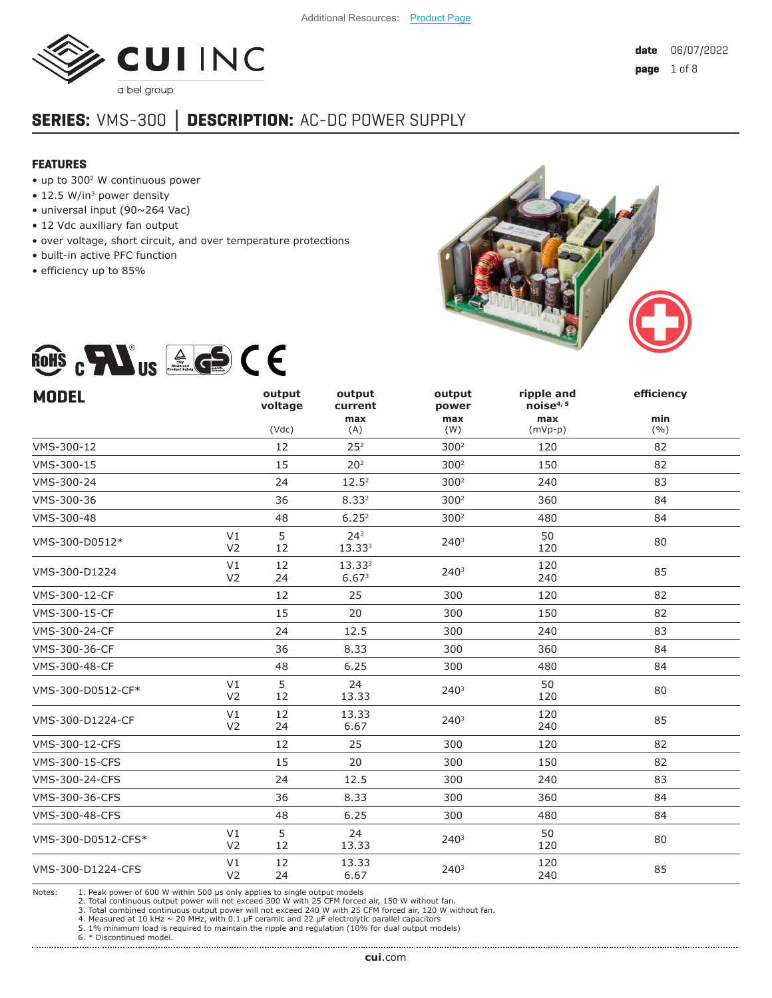

# **SERIES:** VMS-300 **│ DESCRIPTION:** AC-DC POWER SUPPLY

#### **FEATURES**

- up to 3002 W continuous power
- 12.5 W/in<sup>3</sup> power density
- universal input (90~264 Vac)
- 12 Vdc auxiliary fan output
- over voltage, short circuit, and over temperature protections
- built-in active PFC function
- efficiency up to 85%



# ROHS  $_{c}$  Mus  $_{s}$  (e) (E)

| <b>MODEL</b>                               | output<br>voltage | output<br>current           | output<br>power  | ripple and<br>noise <sup>4, 5</sup> | efficiency   |
|--------------------------------------------|-------------------|-----------------------------|------------------|-------------------------------------|--------------|
|                                            | (Vdc)             | max<br>(A)                  | max<br>(W)       | max<br>$(mVp-p)$                    | min<br>(9/0) |
| VMS-300-12                                 | 12                | 25 <sup>2</sup>             | 300 <sup>2</sup> | 120                                 | 82           |
| VMS-300-15                                 | 15                | 20 <sup>2</sup>             | 300 <sup>2</sup> | 150                                 | 82           |
| VMS-300-24                                 | 24                | 12.5 <sup>2</sup>           | 300 <sup>2</sup> | 240                                 | 83           |
| VMS-300-36                                 | 36                | 8.332                       | 300 <sup>2</sup> | 360                                 | 84           |
| VMS-300-48                                 | 48                | 6.25 <sup>2</sup>           | 300 <sup>2</sup> | 480                                 | 84           |
| V1<br>VMS-300-D0512*<br>V <sub>2</sub>     | 5<br>12           | 24 <sup>3</sup><br>13.333   | 240 <sup>3</sup> | 50<br>120                           | 80           |
| V1<br>VMS-300-D1224<br>V <sub>2</sub>      | 12<br>24          | 13.333<br>6.67 <sup>3</sup> | 240 <sup>3</sup> | 120<br>240                          | 85           |
| VMS-300-12-CF                              | 12                | 25                          | 300              | 120                                 | 82           |
| VMS-300-15-CF                              | 15                | 20                          | 300              | 150                                 | 82           |
| VMS-300-24-CF                              | 24                | 12.5                        | 300              | 240                                 | 83           |
| VMS-300-36-CF                              | 36                | 8.33                        | 300              | 360                                 | 84           |
| VMS-300-48-CF                              | 48                | 6.25                        | 300              | 480                                 | 84           |
| V1<br>VMS-300-D0512-CF*<br>V <sub>2</sub>  | 5<br>12           | 24<br>13.33                 | 240 <sup>3</sup> | 50<br>120                           | 80           |
| V1<br>VMS-300-D1224-CF<br>V <sub>2</sub>   | 12<br>24          | 13.33<br>6.67               | 2403             | 120<br>240                          | 85           |
| VMS-300-12-CFS                             | 12                | 25                          | 300              | 120                                 | 82           |
| <b>VMS-300-15-CFS</b>                      | 15                | 20                          | 300              | 150                                 | 82           |
| VMS-300-24-CFS                             | 24                | 12.5                        | 300              | 240                                 | 83           |
| VMS-300-36-CFS                             | 36                | 8.33                        | 300              | 360                                 | 84           |
| <b>VMS-300-48-CFS</b>                      | 48                | 6.25                        | 300              | 480                                 | 84           |
| V1<br>VMS-300-D0512-CFS*<br>V <sub>2</sub> | 5<br>12           | 24<br>13.33                 | 2403             | 50<br>120                           | 80           |
| V1<br>VMS-300-D1224-CFS<br>V <sub>2</sub>  | 12<br>24          | 13.33<br>6.67               | 240 <sup>3</sup> | 120<br>240                          | 85           |

Notes: 1. Peak power of 600 W within 500 us only applies to single output models

2. Total continuous output power will not exceed 300 W with 25 CFM forced air, 150 W without fan.

3. Total combined continuous output power will not exceed 240 W with 25 CFM forced air, 120 W without fan.<br>4. Measured at 10 kHz ~ 20 MHz, with 0.1 µF ceramic and 22 µF electrolytic parallel capacitors<br>5. 1% minimum load i

6. \* Discontinued model.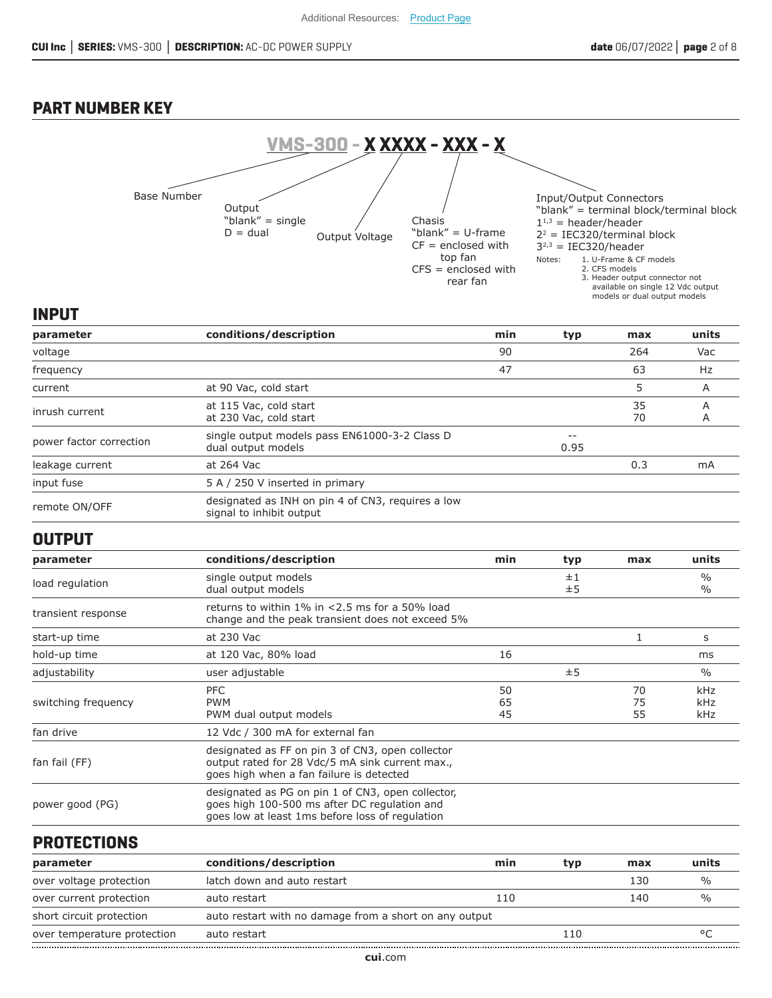## **PART NUMBER KEY**



## **INPUT**

| parameter               | conditions/description                                                        | min | typ        | max      | units  |
|-------------------------|-------------------------------------------------------------------------------|-----|------------|----------|--------|
| voltage                 |                                                                               | 90  |            | 264      | Vac    |
| frequency               |                                                                               | 47  |            | 63       | Hz     |
| current                 | at 90 Vac, cold start                                                         |     |            | 5        | A      |
| inrush current          | at 115 Vac, cold start<br>at 230 Vac, cold start                              |     |            | 35<br>70 | А<br>A |
| power factor correction | single output models pass EN61000-3-2 Class D<br>dual output models           |     | --<br>0.95 |          |        |
| leakage current         | at 264 Vac                                                                    |     |            | 0.3      | mA     |
| input fuse              | 5 A / 250 V inserted in primary                                               |     |            |          |        |
| remote ON/OFF           | designated as INH on pin 4 of CN3, requires a low<br>signal to inhibit output |     |            |          |        |

#### **OUTPUT**

| parameter           | conditions/description                                                                                                                               | min            | typ      | max            | units                          |
|---------------------|------------------------------------------------------------------------------------------------------------------------------------------------------|----------------|----------|----------------|--------------------------------|
| load regulation     | single output models<br>dual output models                                                                                                           |                | ±1<br>±5 |                | $\frac{0}{0}$<br>$\frac{0}{0}$ |
| transient response  | returns to within $1\%$ in $<$ 2.5 ms for a 50% load<br>change and the peak transient does not exceed 5%                                             |                |          |                |                                |
| start-up time       | at 230 Vac                                                                                                                                           |                |          |                | S                              |
| hold-up time        | at 120 Vac, 80% load                                                                                                                                 | 16             |          |                | ms                             |
| adjustability       | user adjustable                                                                                                                                      |                | ±5       |                | $\%$                           |
| switching frequency | PFC<br><b>PWM</b><br>PWM dual output models                                                                                                          | 50<br>65<br>45 |          | 70<br>75<br>55 | kHz<br>kHz<br>kHz              |
| fan drive           | 12 Vdc / 300 mA for external fan                                                                                                                     |                |          |                |                                |
| fan fail (FF)       | designated as FF on pin 3 of CN3, open collector<br>output rated for 28 Vdc/5 mA sink current max.,<br>goes high when a fan failure is detected      |                |          |                |                                |
| power good (PG)     | designated as PG on pin 1 of CN3, open collector,<br>goes high 100-500 ms after DC regulation and<br>goes low at least 1ms before loss of regulation |                |          |                |                                |

## **PROTECTIONS**

| parameter                   | conditions/description                                 | min | tvp | max | units |
|-----------------------------|--------------------------------------------------------|-----|-----|-----|-------|
| over voltage protection     | latch down and auto restart                            |     |     | 130 |       |
| over current protection     | auto restart                                           | 110 |     | 140 |       |
| short circuit protection    | auto restart with no damage from a short on any output |     |     |     |       |
| over temperature protection | auto restart                                           |     | 110 |     |       |
|                             |                                                        |     |     |     |       |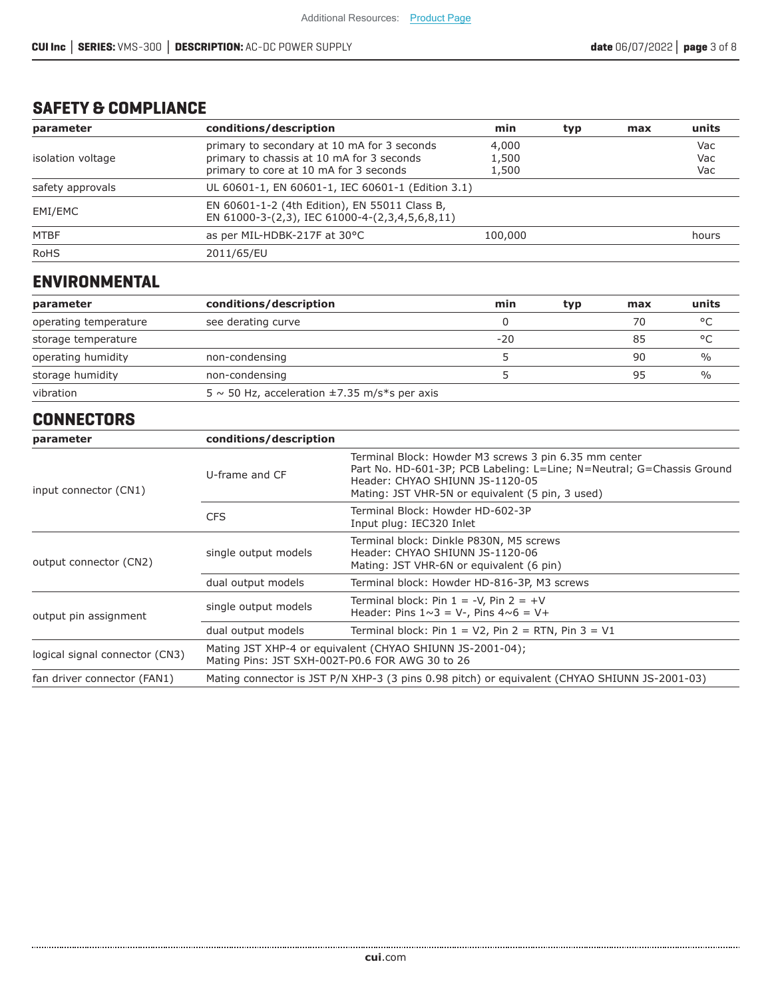# **SAFETY & COMPLIANCE**

| parameter         | conditions/description                                                                                                             | min                     | typ | max | units             |
|-------------------|------------------------------------------------------------------------------------------------------------------------------------|-------------------------|-----|-----|-------------------|
| isolation voltage | primary to secondary at 10 mA for 3 seconds<br>primary to chassis at 10 mA for 3 seconds<br>primary to core at 10 mA for 3 seconds | 4,000<br>1,500<br>1,500 |     |     | Vac<br>Vac<br>Vac |
| safety approvals  | UL 60601-1, EN 60601-1, IEC 60601-1 (Edition 3.1)                                                                                  |                         |     |     |                   |
| EMI/EMC           | EN 60601-1-2 (4th Edition), EN 55011 Class B,<br>EN 61000-3-(2,3), IEC 61000-4-(2,3,4,5,6,8,11)                                    |                         |     |     |                   |
| MTBF              | as per MIL-HDBK-217F at 30°C                                                                                                       | 100,000                 |     |     | hours             |
| <b>RoHS</b>       | 2011/65/EU                                                                                                                         |                         |     |     |                   |

## **ENVIRONMENTAL**

| parameter             | conditions/description                                 | min   | typ | max | units   |
|-----------------------|--------------------------------------------------------|-------|-----|-----|---------|
| operating temperature | see derating curve                                     |       |     | 70  | $\circ$ |
| storage temperature   |                                                        | $-20$ |     | 85  | $\circ$ |
| operating humidity    | non-condensing                                         |       |     | 90  | $\%$    |
| storage humidity      | non-condensing                                         |       |     | 95  | $\%$    |
| vibration             | $5 \sim 50$ Hz, acceleration $\pm 7.35$ m/s*s per axis |       |     |     |         |

# **CONNECTORS**

| parameter                      | conditions/description                          |                                                                                                                                                                                                                       |
|--------------------------------|-------------------------------------------------|-----------------------------------------------------------------------------------------------------------------------------------------------------------------------------------------------------------------------|
| input connector (CN1)          | U-frame and CF                                  | Terminal Block: Howder M3 screws 3 pin 6.35 mm center<br>Part No. HD-601-3P; PCB Labeling: L=Line; N=Neutral; G=Chassis Ground<br>Header: CHYAO SHIUNN JS-1120-05<br>Mating: JST VHR-5N or equivalent (5 pin, 3 used) |
|                                | <b>CFS</b>                                      | Terminal Block: Howder HD-602-3P<br>Input plug: IEC320 Inlet                                                                                                                                                          |
| output connector (CN2)         | single output models                            | Terminal block: Dinkle P830N, M5 screws<br>Header: CHYAO SHIUNN JS-1120-06<br>Mating: JST VHR-6N or equivalent (6 pin)                                                                                                |
|                                | dual output models                              | Terminal block: Howder HD-816-3P, M3 screws                                                                                                                                                                           |
| output pin assignment          | single output models                            | Terminal block: Pin $1 = -V$ , Pin $2 = +V$<br>Header: Pins $1 \sim 3 = V$ -, Pins $4 \sim 6 = V +$                                                                                                                   |
|                                | dual output models                              | Terminal block: Pin $1 = V2$ , Pin $2 = RTN$ , Pin $3 = V1$                                                                                                                                                           |
| logical signal connector (CN3) | Mating Pins: JST SXH-002T-P0.6 FOR AWG 30 to 26 | Mating JST XHP-4 or equivalent (CHYAO SHIUNN JS-2001-04);                                                                                                                                                             |
| fan driver connector (FAN1)    |                                                 | Mating connector is JST P/N XHP-3 (3 pins 0.98 pitch) or equivalent (CHYAO SHIUNN JS-2001-03)                                                                                                                         |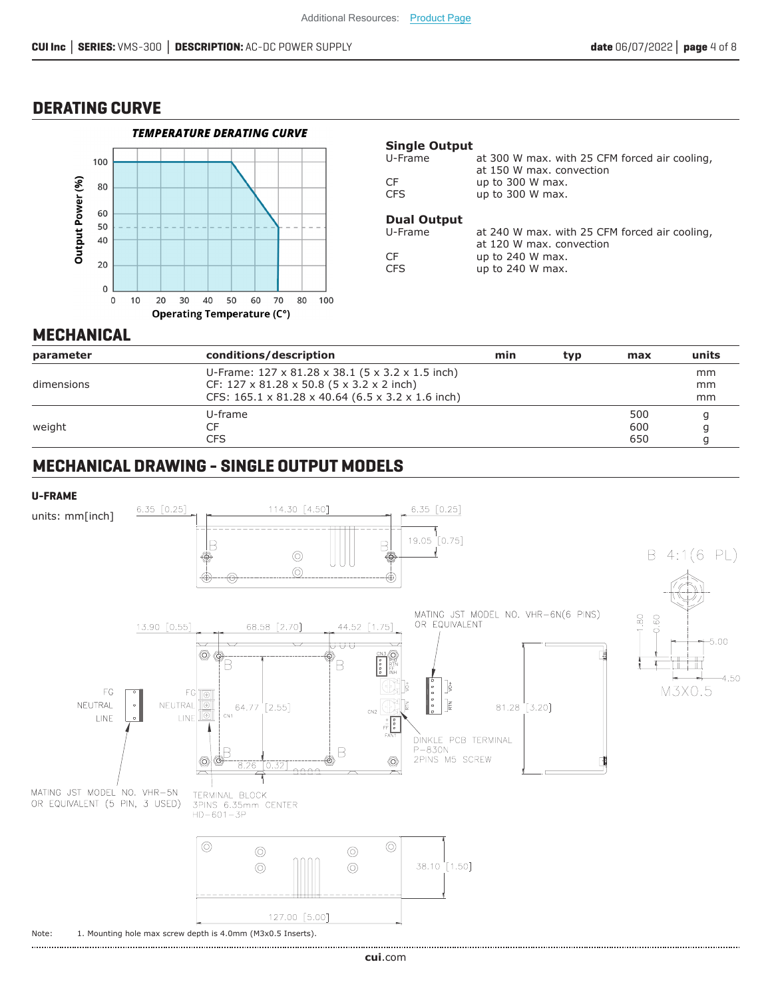#### **DERATING CURVE**



#### **Single Output**

| U-Frame | at 300 W max. with 25 CFM forced air cooling, |
|---------|-----------------------------------------------|
|         | at 150 W max. convection                      |
| CF      | up to $300$ W max.                            |
| CFS     | up to $300$ W max.                            |
|         |                                               |

#### **Dual Output**

| U-Frame | at 240 W max. with 25 CFM forced air cooling, |
|---------|-----------------------------------------------|
|         | at 120 W max. convection                      |
| CF      | up to $240$ W max.                            |
| CFS     | up to $240$ W max.                            |

#### **MECHANICAL**

| parameter  | conditions/description                                        | min | typ | max | units |
|------------|---------------------------------------------------------------|-----|-----|-----|-------|
|            | U-Frame: $127 \times 81.28 \times 38.1$ (5 x 3.2 x 1.5 inch)  |     |     |     | mm    |
| dimensions | CF: $127 \times 81.28 \times 50.8$ (5 x 3.2 x 2 inch)         |     |     |     | mm    |
|            | CFS: $165.1 \times 81.28 \times 40.64$ (6.5 x 3.2 x 1.6 inch) |     |     |     | mm    |
|            | U-frame                                                       |     |     | 500 |       |
| weight     |                                                               |     |     | 600 |       |
|            | CFS                                                           |     |     | 650 |       |

## **MECHANICAL DRAWING - SINGLE OUTPUT MODELS**

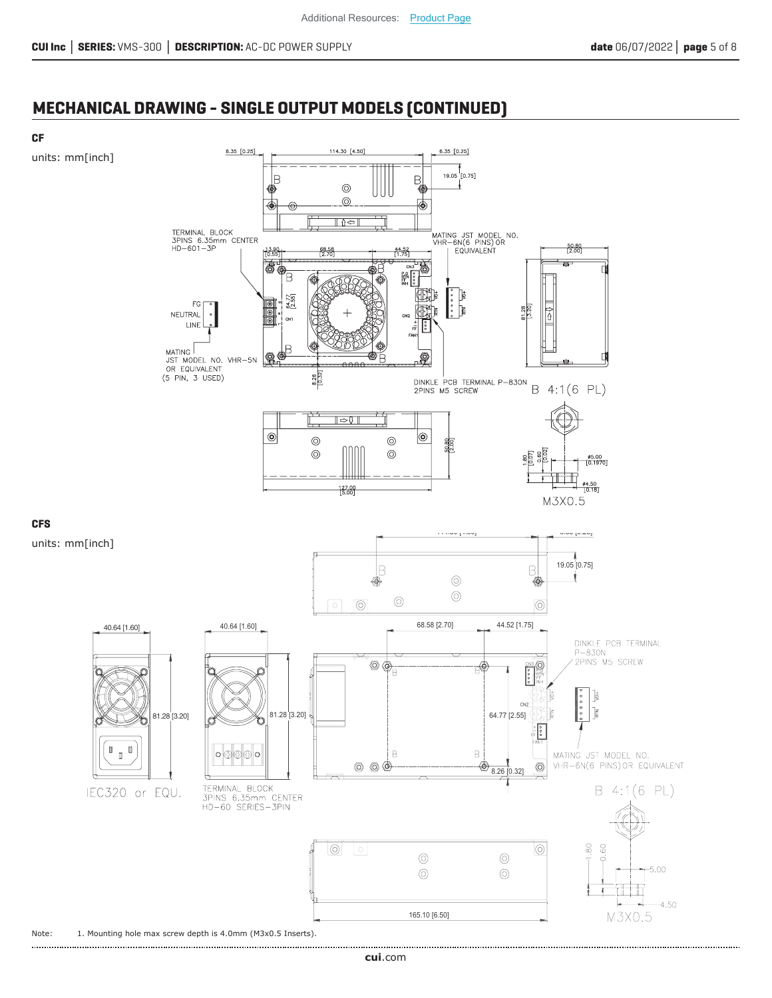## **MECHANICAL DRAWING - SINGLE OUTPUT MODELS (CONTINUED)**

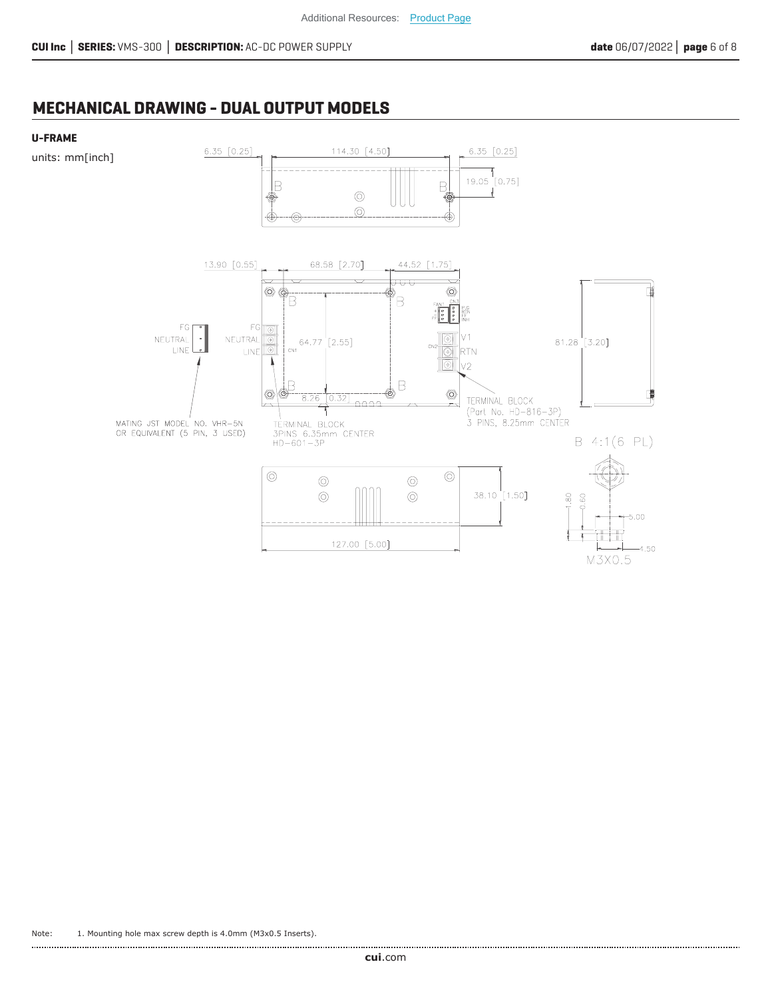M3X0.5

## **MECHANICAL DRAWING - DUAL OUTPUT MODELS**

#### **U-FRAME**

units: mm[inch]

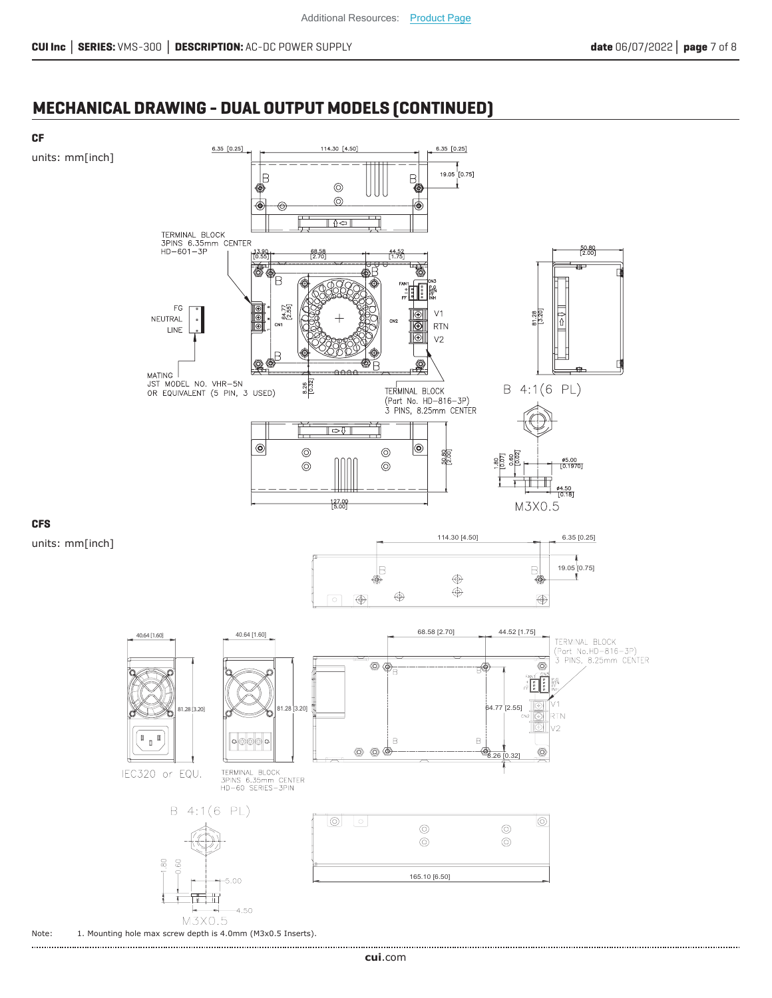## **MECHANICAL DRAWING - DUAL OUTPUT MODELS (CONTINUED)**